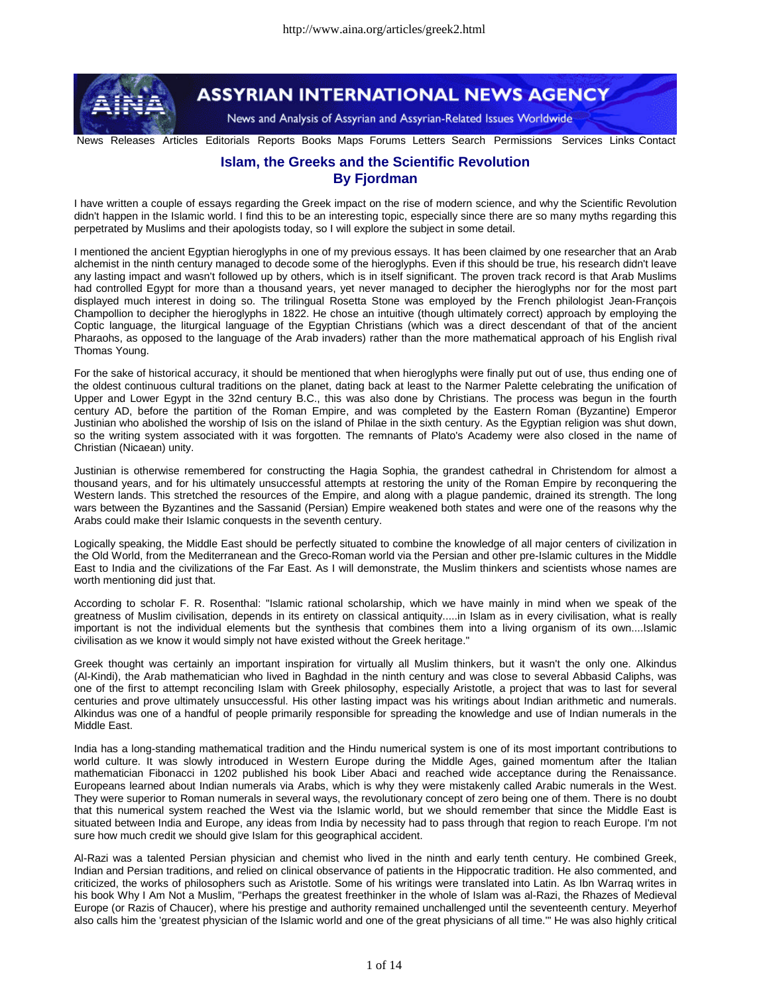

## **ASSYRIAN INTERNATIONAL NEWS AGENCY**

News and Analysis of Assyrian and Assyrian-Related Issues Worldwide

News Releases Articles Editorials Reports Books Maps Forums Letters Search Permissions Services Links Contact

## **Islam, the Greeks and the Scientific Revolution By Fjordman**

I have written a couple of essays regarding the Greek impact on the rise of modern science, and why the Scientific Revolution didn't happen in the Islamic world. I find this to be an interesting topic, especially since there are so many myths regarding this perpetrated by Muslims and their apologists today, so I will explore the subject in some detail.

I mentioned the ancient Egyptian hieroglyphs in one of my previous essays. It has been claimed by one researcher that an Arab alchemist in the ninth century managed to decode some of the hieroglyphs. Even if this should be true, his research didn't leave any lasting impact and wasn't followed up by others, which is in itself significant. The proven track record is that Arab Muslims had controlled Egypt for more than a thousand years, yet never managed to decipher the hieroglyphs nor for the most part displayed much interest in doing so. The trilingual Rosetta Stone was employed by the French philologist Jean-François Champollion to decipher the hieroglyphs in 1822. He chose an intuitive (though ultimately correct) approach by employing the Coptic language, the liturgical language of the Egyptian Christians (which was a direct descendant of that of the ancient Pharaohs, as opposed to the language of the Arab invaders) rather than the more mathematical approach of his English rival Thomas Young.

For the sake of historical accuracy, it should be mentioned that when hieroglyphs were finally put out of use, thus ending one of the oldest continuous cultural traditions on the planet, dating back at least to the Narmer Palette celebrating the unification of Upper and Lower Egypt in the 32nd century B.C., this was also done by Christians. The process was begun in the fourth century AD, before the partition of the Roman Empire, and was completed by the Eastern Roman (Byzantine) Emperor Justinian who abolished the worship of Isis on the island of Philae in the sixth century. As the Egyptian religion was shut down, so the writing system associated with it was forgotten. The remnants of Plato's Academy were also closed in the name of Christian (Nicaean) unity.

Justinian is otherwise remembered for constructing the Hagia Sophia, the grandest cathedral in Christendom for almost a thousand years, and for his ultimately unsuccessful attempts at restoring the unity of the Roman Empire by reconquering the Western lands. This stretched the resources of the Empire, and along with a plague pandemic, drained its strength. The long wars between the Byzantines and the Sassanid (Persian) Empire weakened both states and were one of the reasons why the Arabs could make their Islamic conquests in the seventh century.

Logically speaking, the Middle East should be perfectly situated to combine the knowledge of all major centers of civilization in the Old World, from the Mediterranean and the Greco-Roman world via the Persian and other pre-Islamic cultures in the Middle East to India and the civilizations of the Far East. As I will demonstrate, the Muslim thinkers and scientists whose names are worth mentioning did just that.

According to scholar F. R. Rosenthal: "Islamic rational scholarship, which we have mainly in mind when we speak of the greatness of Muslim civilisation, depends in its entirety on classical antiquity.....in Islam as in every civilisation, what is really important is not the individual elements but the synthesis that combines them into a living organism of its own....Islamic civilisation as we know it would simply not have existed without the Greek heritage."

Greek thought was certainly an important inspiration for virtually all Muslim thinkers, but it wasn't the only one. Alkindus (Al-Kindi), the Arab mathematician who lived in Baghdad in the ninth century and was close to several Abbasid Caliphs, was one of the first to attempt reconciling Islam with Greek philosophy, especially Aristotle, a project that was to last for several centuries and prove ultimately unsuccessful. His other lasting impact was his writings about Indian arithmetic and numerals. Alkindus was one of a handful of people primarily responsible for spreading the knowledge and use of Indian numerals in the Middle East.

India has a long-standing mathematical tradition and the Hindu numerical system is one of its most important contributions to world culture. It was slowly introduced in Western Europe during the Middle Ages, gained momentum after the Italian mathematician Fibonacci in 1202 published his book Liber Abaci and reached wide acceptance during the Renaissance. Europeans learned about Indian numerals via Arabs, which is why they were mistakenly called Arabic numerals in the West. They were superior to Roman numerals in several ways, the revolutionary concept of zero being one of them. There is no doubt that this numerical system reached the West via the Islamic world, but we should remember that since the Middle East is situated between India and Europe, any ideas from India by necessity had to pass through that region to reach Europe. I'm not sure how much credit we should give Islam for this geographical accident.

Al-Razi was a talented Persian physician and chemist who lived in the ninth and early tenth century. He combined Greek, Indian and Persian traditions, and relied on clinical observance of patients in the Hippocratic tradition. He also commented, and criticized, the works of philosophers such as Aristotle. Some of his writings were translated into Latin. As Ibn Warraq writes in his book Why I Am Not a Muslim, "Perhaps the greatest freethinker in the whole of Islam was al-Razi, the Rhazes of Medieval Europe (or Razis of Chaucer), where his prestige and authority remained unchallenged until the seventeenth century. Meyerhof also calls him the 'greatest physician of the Islamic world and one of the great physicians of all time.'" He was also highly critical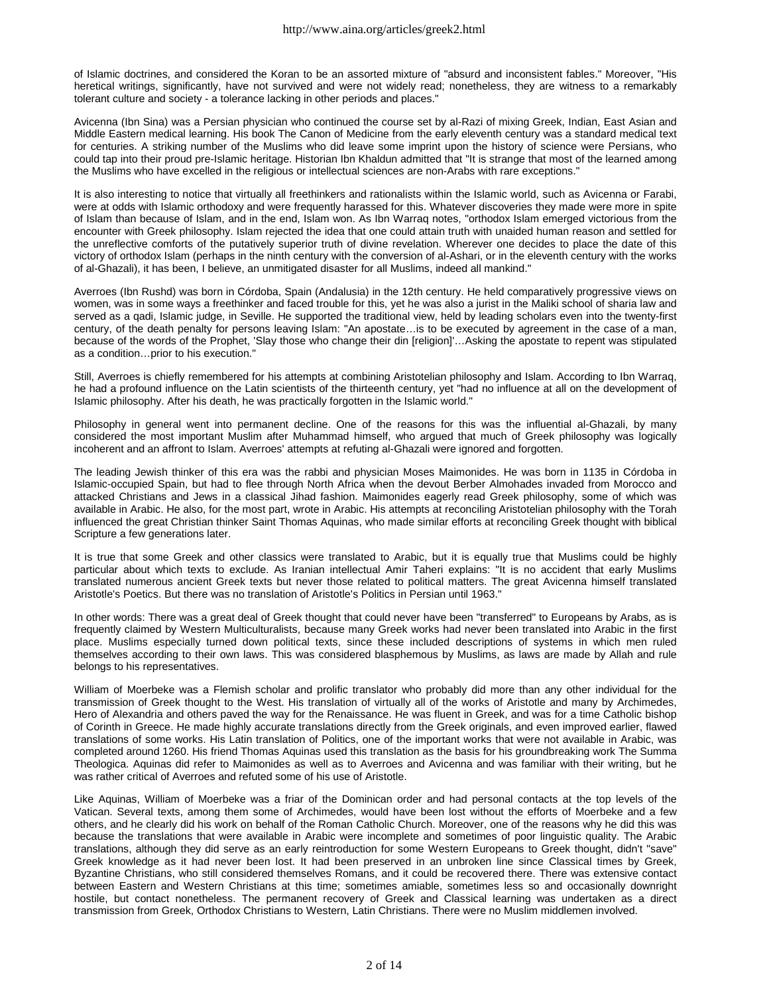of Islamic doctrines, and considered the Koran to be an assorted mixture of "absurd and inconsistent fables." Moreover, "His heretical writings, significantly, have not survived and were not widely read; nonetheless, they are witness to a remarkably tolerant culture and society - a tolerance lacking in other periods and places."

Avicenna (Ibn Sina) was a Persian physician who continued the course set by al-Razi of mixing Greek, Indian, East Asian and Middle Eastern medical learning. His book The Canon of Medicine from the early eleventh century was a standard medical text for centuries. A striking number of the Muslims who did leave some imprint upon the history of science were Persians, who could tap into their proud pre-Islamic heritage. Historian Ibn Khaldun admitted that "It is strange that most of the learned among the Muslims who have excelled in the religious or intellectual sciences are non-Arabs with rare exceptions."

It is also interesting to notice that virtually all freethinkers and rationalists within the Islamic world, such as Avicenna or Farabi, were at odds with Islamic orthodoxy and were frequently harassed for this. Whatever discoveries they made were more in spite of Islam than because of Islam, and in the end, Islam won. As Ibn Warraq notes, "orthodox Islam emerged victorious from the encounter with Greek philosophy. Islam rejected the idea that one could attain truth with unaided human reason and settled for the unreflective comforts of the putatively superior truth of divine revelation. Wherever one decides to place the date of this victory of orthodox Islam (perhaps in the ninth century with the conversion of al-Ashari, or in the eleventh century with the works of al-Ghazali), it has been, I believe, an unmitigated disaster for all Muslims, indeed all mankind."

Averroes (Ibn Rushd) was born in Córdoba, Spain (Andalusia) in the 12th century. He held comparatively progressive views on women, was in some ways a freethinker and faced trouble for this, yet he was also a jurist in the Maliki school of sharia law and served as a qadi, Islamic judge, in Seville. He supported the traditional view, held by leading scholars even into the twenty-first century, of the death penalty for persons leaving Islam: "An apostate…is to be executed by agreement in the case of a man, because of the words of the Prophet, 'Slay those who change their din [religion]'…Asking the apostate to repent was stipulated as a condition…prior to his execution."

Still, Averroes is chiefly remembered for his attempts at combining Aristotelian philosophy and Islam. According to Ibn Warraq, he had a profound influence on the Latin scientists of the thirteenth century, yet "had no influence at all on the development of Islamic philosophy. After his death, he was practically forgotten in the Islamic world."

Philosophy in general went into permanent decline. One of the reasons for this was the influential al-Ghazali, by many considered the most important Muslim after Muhammad himself, who argued that much of Greek philosophy was logically incoherent and an affront to Islam. Averroes' attempts at refuting al-Ghazali were ignored and forgotten.

The leading Jewish thinker of this era was the rabbi and physician Moses Maimonides. He was born in 1135 in Córdoba in Islamic-occupied Spain, but had to flee through North Africa when the devout Berber Almohades invaded from Morocco and attacked Christians and Jews in a classical Jihad fashion. Maimonides eagerly read Greek philosophy, some of which was available in Arabic. He also, for the most part, wrote in Arabic. His attempts at reconciling Aristotelian philosophy with the Torah influenced the great Christian thinker Saint Thomas Aquinas, who made similar efforts at reconciling Greek thought with biblical Scripture a few generations later.

It is true that some Greek and other classics were translated to Arabic, but it is equally true that Muslims could be highly particular about which texts to exclude. As Iranian intellectual Amir Taheri explains: "It is no accident that early Muslims translated numerous ancient Greek texts but never those related to political matters. The great Avicenna himself translated Aristotle's Poetics. But there was no translation of Aristotle's Politics in Persian until 1963."

In other words: There was a great deal of Greek thought that could never have been "transferred" to Europeans by Arabs, as is frequently claimed by Western Multiculturalists, because many Greek works had never been translated into Arabic in the first place. Muslims especially turned down political texts, since these included descriptions of systems in which men ruled themselves according to their own laws. This was considered blasphemous by Muslims, as laws are made by Allah and rule belongs to his representatives.

William of Moerbeke was a Flemish scholar and prolific translator who probably did more than any other individual for the transmission of Greek thought to the West. His translation of virtually all of the works of Aristotle and many by Archimedes, Hero of Alexandria and others paved the way for the Renaissance. He was fluent in Greek, and was for a time Catholic bishop of Corinth in Greece. He made highly accurate translations directly from the Greek originals, and even improved earlier, flawed translations of some works. His Latin translation of Politics, one of the important works that were not available in Arabic, was completed around 1260. His friend Thomas Aquinas used this translation as the basis for his groundbreaking work The Summa Theologica. Aquinas did refer to Maimonides as well as to Averroes and Avicenna and was familiar with their writing, but he was rather critical of Averroes and refuted some of his use of Aristotle.

Like Aquinas, William of Moerbeke was a friar of the Dominican order and had personal contacts at the top levels of the Vatican. Several texts, among them some of Archimedes, would have been lost without the efforts of Moerbeke and a few others, and he clearly did his work on behalf of the Roman Catholic Church. Moreover, one of the reasons why he did this was because the translations that were available in Arabic were incomplete and sometimes of poor linguistic quality. The Arabic translations, although they did serve as an early reintroduction for some Western Europeans to Greek thought, didn't "save" Greek knowledge as it had never been lost. It had been preserved in an unbroken line since Classical times by Greek, Byzantine Christians, who still considered themselves Romans, and it could be recovered there. There was extensive contact between Eastern and Western Christians at this time; sometimes amiable, sometimes less so and occasionally downright hostile, but contact nonetheless. The permanent recovery of Greek and Classical learning was undertaken as a direct transmission from Greek, Orthodox Christians to Western, Latin Christians. There were no Muslim middlemen involved.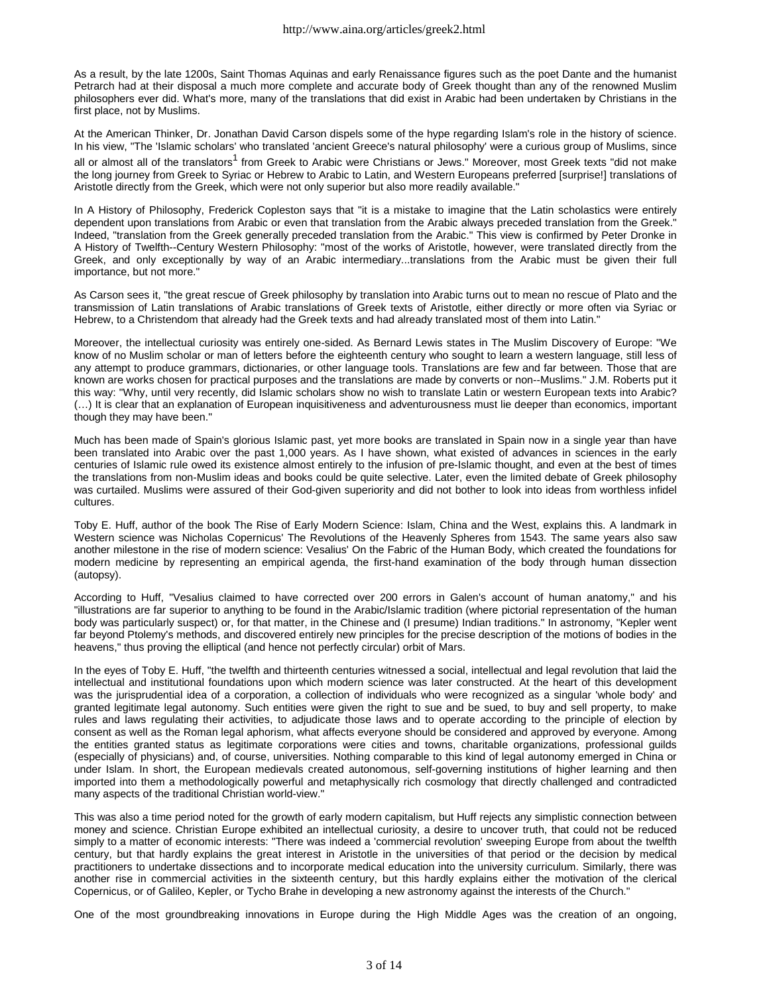As a result, by the late 1200s, Saint Thomas Aquinas and early Renaissance figures such as the poet Dante and the humanist Petrarch had at their disposal a much more complete and accurate body of Greek thought than any of the renowned Muslim philosophers ever did. What's more, many of the translations that did exist in Arabic had been undertaken by Christians in the first place, not by Muslims.

At the American Thinker, Dr. Jonathan David Carson dispels some of the hype regarding Islam's role in the history of science. In his view, "The 'Islamic scholars' who translated 'ancient Greece's natural philosophy' were a curious group of Muslims, since all or almost all of the translators<sup>1</sup> from Greek to Arabic were Christians or Jews." Moreover, most Greek texts "did not make the long journey from Greek to Syriac or Hebrew to Arabic to Latin, and Western Europeans preferred [surprise!] translations of Aristotle directly from the Greek, which were not only superior but also more readily available."

In A History of Philosophy, Frederick Copleston says that "it is a mistake to imagine that the Latin scholastics were entirely dependent upon translations from Arabic or even that translation from the Arabic always preceded translation from the Greek." Indeed, "translation from the Greek generally preceded translation from the Arabic." This view is confirmed by Peter Dronke in A History of Twelfth--Century Western Philosophy: "most of the works of Aristotle, however, were translated directly from the Greek, and only exceptionally by way of an Arabic intermediary...translations from the Arabic must be given their full importance, but not more."

As Carson sees it, "the great rescue of Greek philosophy by translation into Arabic turns out to mean no rescue of Plato and the transmission of Latin translations of Arabic translations of Greek texts of Aristotle, either directly or more often via Syriac or Hebrew, to a Christendom that already had the Greek texts and had already translated most of them into Latin."

Moreover, the intellectual curiosity was entirely one-sided. As Bernard Lewis states in The Muslim Discovery of Europe: "We know of no Muslim scholar or man of letters before the eighteenth century who sought to learn a western language, still less of any attempt to produce grammars, dictionaries, or other language tools. Translations are few and far between. Those that are known are works chosen for practical purposes and the translations are made by converts or non--Muslims." J.M. Roberts put it this way: "Why, until very recently, did Islamic scholars show no wish to translate Latin or western European texts into Arabic? (…) It is clear that an explanation of European inquisitiveness and adventurousness must lie deeper than economics, important though they may have been."

Much has been made of Spain's glorious Islamic past, yet more books are translated in Spain now in a single year than have been translated into Arabic over the past 1,000 years. As I have shown, what existed of advances in sciences in the early centuries of Islamic rule owed its existence almost entirely to the infusion of pre-Islamic thought, and even at the best of times the translations from non-Muslim ideas and books could be quite selective. Later, even the limited debate of Greek philosophy was curtailed. Muslims were assured of their God-given superiority and did not bother to look into ideas from worthless infidel cultures.

Toby E. Huff, author of the book The Rise of Early Modern Science: Islam, China and the West, explains this. A landmark in Western science was Nicholas Copernicus' The Revolutions of the Heavenly Spheres from 1543. The same years also saw another milestone in the rise of modern science: Vesalius' On the Fabric of the Human Body, which created the foundations for modern medicine by representing an empirical agenda, the first-hand examination of the body through human dissection (autopsy).

According to Huff, "Vesalius claimed to have corrected over 200 errors in Galen's account of human anatomy," and his "illustrations are far superior to anything to be found in the Arabic/Islamic tradition (where pictorial representation of the human body was particularly suspect) or, for that matter, in the Chinese and (I presume) Indian traditions." In astronomy, "Kepler went far beyond Ptolemy's methods, and discovered entirely new principles for the precise description of the motions of bodies in the heavens," thus proving the elliptical (and hence not perfectly circular) orbit of Mars.

In the eyes of Toby E. Huff, "the twelfth and thirteenth centuries witnessed a social, intellectual and legal revolution that laid the intellectual and institutional foundations upon which modern science was later constructed. At the heart of this development was the jurisprudential idea of a corporation, a collection of individuals who were recognized as a singular 'whole body' and granted legitimate legal autonomy. Such entities were given the right to sue and be sued, to buy and sell property, to make rules and laws regulating their activities, to adjudicate those laws and to operate according to the principle of election by consent as well as the Roman legal aphorism, what affects everyone should be considered and approved by everyone. Among the entities granted status as legitimate corporations were cities and towns, charitable organizations, professional guilds (especially of physicians) and, of course, universities. Nothing comparable to this kind of legal autonomy emerged in China or under Islam. In short, the European medievals created autonomous, self-governing institutions of higher learning and then imported into them a methodologically powerful and metaphysically rich cosmology that directly challenged and contradicted many aspects of the traditional Christian world-view."

This was also a time period noted for the growth of early modern capitalism, but Huff rejects any simplistic connection between money and science. Christian Europe exhibited an intellectual curiosity, a desire to uncover truth, that could not be reduced simply to a matter of economic interests: "There was indeed a 'commercial revolution' sweeping Europe from about the twelfth century, but that hardly explains the great interest in Aristotle in the universities of that period or the decision by medical practitioners to undertake dissections and to incorporate medical education into the university curriculum. Similarly, there was another rise in commercial activities in the sixteenth century, but this hardly explains either the motivation of the clerical Copernicus, or of Galileo, Kepler, or Tycho Brahe in developing a new astronomy against the interests of the Church."

One of the most groundbreaking innovations in Europe during the High Middle Ages was the creation of an ongoing,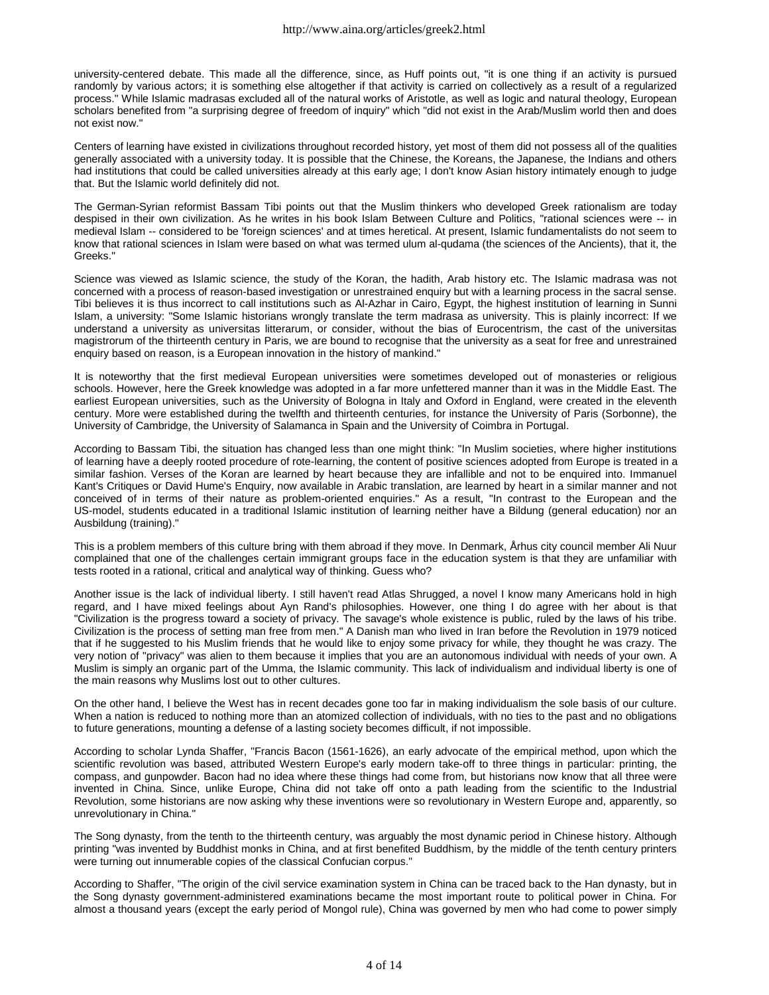university-centered debate. This made all the difference, since, as Huff points out, "it is one thing if an activity is pursued randomly by various actors; it is something else altogether if that activity is carried on collectively as a result of a regularized process." While Islamic madrasas excluded all of the natural works of Aristotle, as well as logic and natural theology, European scholars benefited from "a surprising degree of freedom of inquiry" which "did not exist in the Arab/Muslim world then and does not exist now."

Centers of learning have existed in civilizations throughout recorded history, yet most of them did not possess all of the qualities generally associated with a university today. It is possible that the Chinese, the Koreans, the Japanese, the Indians and others had institutions that could be called universities already at this early age; I don't know Asian history intimately enough to judge that. But the Islamic world definitely did not.

The German-Syrian reformist Bassam Tibi points out that the Muslim thinkers who developed Greek rationalism are today despised in their own civilization. As he writes in his book Islam Between Culture and Politics, "rational sciences were -- in medieval Islam -- considered to be 'foreign sciences' and at times heretical. At present, Islamic fundamentalists do not seem to know that rational sciences in Islam were based on what was termed ulum al-qudama (the sciences of the Ancients), that it, the Greeks."

Science was viewed as Islamic science, the study of the Koran, the hadith, Arab history etc. The Islamic madrasa was not concerned with a process of reason-based investigation or unrestrained enquiry but with a learning process in the sacral sense. Tibi believes it is thus incorrect to call institutions such as Al-Azhar in Cairo, Egypt, the highest institution of learning in Sunni Islam, a university: "Some Islamic historians wrongly translate the term madrasa as university. This is plainly incorrect: If we understand a university as universitas litterarum, or consider, without the bias of Eurocentrism, the cast of the universitas magistrorum of the thirteenth century in Paris, we are bound to recognise that the university as a seat for free and unrestrained enquiry based on reason, is a European innovation in the history of mankind."

It is noteworthy that the first medieval European universities were sometimes developed out of monasteries or religious schools. However, here the Greek knowledge was adopted in a far more unfettered manner than it was in the Middle East. The earliest European universities, such as the University of Bologna in Italy and Oxford in England, were created in the eleventh century. More were established during the twelfth and thirteenth centuries, for instance the University of Paris (Sorbonne), the University of Cambridge, the University of Salamanca in Spain and the University of Coimbra in Portugal.

According to Bassam Tibi, the situation has changed less than one might think: "In Muslim societies, where higher institutions of learning have a deeply rooted procedure of rote-learning, the content of positive sciences adopted from Europe is treated in a similar fashion. Verses of the Koran are learned by heart because they are infallible and not to be enquired into. Immanuel Kant's Critiques or David Hume's Enquiry, now available in Arabic translation, are learned by heart in a similar manner and not conceived of in terms of their nature as problem-oriented enquiries." As a result, "In contrast to the European and the US-model, students educated in a traditional Islamic institution of learning neither have a Bildung (general education) nor an Ausbildung (training)."

This is a problem members of this culture bring with them abroad if they move. In Denmark, Århus city council member Ali Nuur complained that one of the challenges certain immigrant groups face in the education system is that they are unfamiliar with tests rooted in a rational, critical and analytical way of thinking. Guess who?

Another issue is the lack of individual liberty. I still haven't read Atlas Shrugged, a novel I know many Americans hold in high regard, and I have mixed feelings about Ayn Rand's philosophies. However, one thing I do agree with her about is that "Civilization is the progress toward a society of privacy. The savage's whole existence is public, ruled by the laws of his tribe. Civilization is the process of setting man free from men." A Danish man who lived in Iran before the Revolution in 1979 noticed that if he suggested to his Muslim friends that he would like to enjoy some privacy for while, they thought he was crazy. The very notion of "privacy" was alien to them because it implies that you are an autonomous individual with needs of your own. A Muslim is simply an organic part of the Umma, the Islamic community. This lack of individualism and individual liberty is one of the main reasons why Muslims lost out to other cultures.

On the other hand, I believe the West has in recent decades gone too far in making individualism the sole basis of our culture. When a nation is reduced to nothing more than an atomized collection of individuals, with no ties to the past and no obligations to future generations, mounting a defense of a lasting society becomes difficult, if not impossible.

According to scholar Lynda Shaffer, "Francis Bacon (1561-1626), an early advocate of the empirical method, upon which the scientific revolution was based, attributed Western Europe's early modern take-off to three things in particular: printing, the compass, and gunpowder. Bacon had no idea where these things had come from, but historians now know that all three were invented in China. Since, unlike Europe, China did not take off onto a path leading from the scientific to the Industrial Revolution, some historians are now asking why these inventions were so revolutionary in Western Europe and, apparently, so unrevolutionary in China."

The Song dynasty, from the tenth to the thirteenth century, was arguably the most dynamic period in Chinese history. Although printing "was invented by Buddhist monks in China, and at first benefited Buddhism, by the middle of the tenth century printers were turning out innumerable copies of the classical Confucian corpus."

According to Shaffer, "The origin of the civil service examination system in China can be traced back to the Han dynasty, but in the Song dynasty government-administered examinations became the most important route to political power in China. For almost a thousand years (except the early period of Mongol rule), China was governed by men who had come to power simply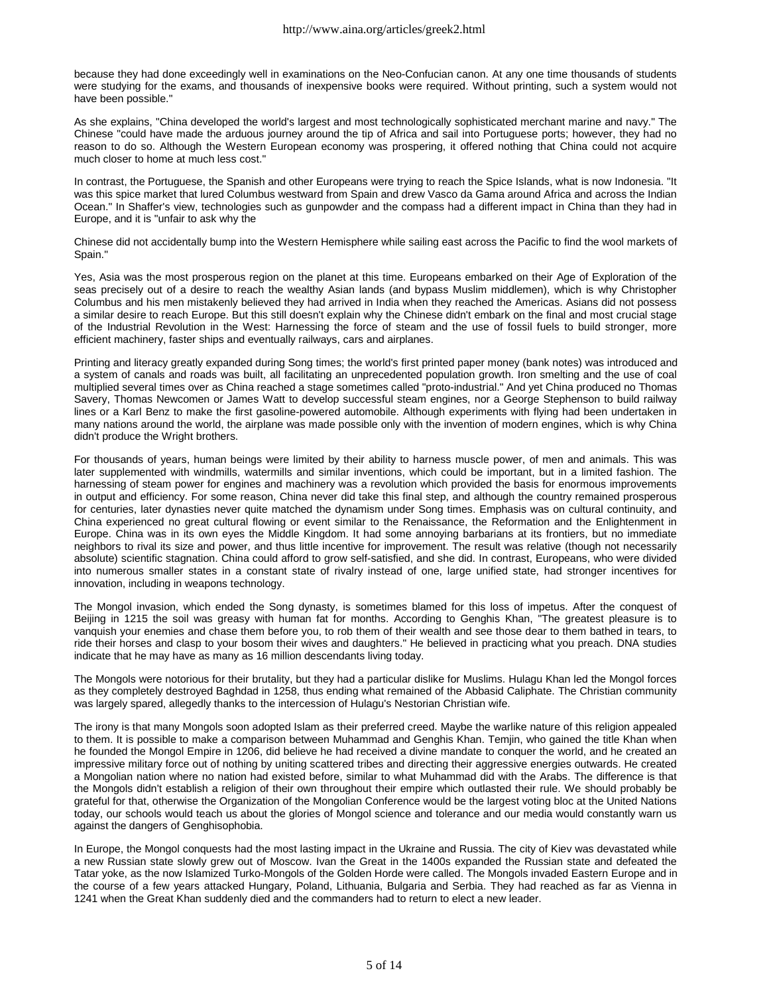because they had done exceedingly well in examinations on the Neo-Confucian canon. At any one time thousands of students were studying for the exams, and thousands of inexpensive books were required. Without printing, such a system would not have been possible."

As she explains, "China developed the world's largest and most technologically sophisticated merchant marine and navy." The Chinese "could have made the arduous journey around the tip of Africa and sail into Portuguese ports; however, they had no reason to do so. Although the Western European economy was prospering, it offered nothing that China could not acquire much closer to home at much less cost."

In contrast, the Portuguese, the Spanish and other Europeans were trying to reach the Spice Islands, what is now Indonesia. "It was this spice market that lured Columbus westward from Spain and drew Vasco da Gama around Africa and across the Indian Ocean." In Shaffer's view, technologies such as gunpowder and the compass had a different impact in China than they had in Europe, and it is "unfair to ask why the

Chinese did not accidentally bump into the Western Hemisphere while sailing east across the Pacific to find the wool markets of Spain."

Yes, Asia was the most prosperous region on the planet at this time. Europeans embarked on their Age of Exploration of the seas precisely out of a desire to reach the wealthy Asian lands (and bypass Muslim middlemen), which is why Christopher Columbus and his men mistakenly believed they had arrived in India when they reached the Americas. Asians did not possess a similar desire to reach Europe. But this still doesn't explain why the Chinese didn't embark on the final and most crucial stage of the Industrial Revolution in the West: Harnessing the force of steam and the use of fossil fuels to build stronger, more efficient machinery, faster ships and eventually railways, cars and airplanes.

Printing and literacy greatly expanded during Song times; the world's first printed paper money (bank notes) was introduced and a system of canals and roads was built, all facilitating an unprecedented population growth. Iron smelting and the use of coal multiplied several times over as China reached a stage sometimes called "proto-industrial." And yet China produced no Thomas Savery, Thomas Newcomen or James Watt to develop successful steam engines, nor a George Stephenson to build railway lines or a Karl Benz to make the first gasoline-powered automobile. Although experiments with flying had been undertaken in many nations around the world, the airplane was made possible only with the invention of modern engines, which is why China didn't produce the Wright brothers.

For thousands of years, human beings were limited by their ability to harness muscle power, of men and animals. This was later supplemented with windmills, watermills and similar inventions, which could be important, but in a limited fashion. The harnessing of steam power for engines and machinery was a revolution which provided the basis for enormous improvements in output and efficiency. For some reason, China never did take this final step, and although the country remained prosperous for centuries, later dynasties never quite matched the dynamism under Song times. Emphasis was on cultural continuity, and China experienced no great cultural flowing or event similar to the Renaissance, the Reformation and the Enlightenment in Europe. China was in its own eyes the Middle Kingdom. It had some annoying barbarians at its frontiers, but no immediate neighbors to rival its size and power, and thus little incentive for improvement. The result was relative (though not necessarily absolute) scientific stagnation. China could afford to grow self-satisfied, and she did. In contrast, Europeans, who were divided into numerous smaller states in a constant state of rivalry instead of one, large unified state, had stronger incentives for innovation, including in weapons technology.

The Mongol invasion, which ended the Song dynasty, is sometimes blamed for this loss of impetus. After the conquest of Beijing in 1215 the soil was greasy with human fat for months. According to Genghis Khan, "The greatest pleasure is to vanquish your enemies and chase them before you, to rob them of their wealth and see those dear to them bathed in tears, to ride their horses and clasp to your bosom their wives and daughters." He believed in practicing what you preach. DNA studies indicate that he may have as many as 16 million descendants living today.

The Mongols were notorious for their brutality, but they had a particular dislike for Muslims. Hulagu Khan led the Mongol forces as they completely destroyed Baghdad in 1258, thus ending what remained of the Abbasid Caliphate. The Christian community was largely spared, allegedly thanks to the intercession of Hulagu's Nestorian Christian wife.

The irony is that many Mongols soon adopted Islam as their preferred creed. Maybe the warlike nature of this religion appealed to them. It is possible to make a comparison between Muhammad and Genghis Khan. Temjin, who gained the title Khan when he founded the Mongol Empire in 1206, did believe he had received a divine mandate to conquer the world, and he created an impressive military force out of nothing by uniting scattered tribes and directing their aggressive energies outwards. He created a Mongolian nation where no nation had existed before, similar to what Muhammad did with the Arabs. The difference is that the Mongols didn't establish a religion of their own throughout their empire which outlasted their rule. We should probably be grateful for that, otherwise the Organization of the Mongolian Conference would be the largest voting bloc at the United Nations today, our schools would teach us about the glories of Mongol science and tolerance and our media would constantly warn us against the dangers of Genghisophobia.

In Europe, the Mongol conquests had the most lasting impact in the Ukraine and Russia. The city of Kiev was devastated while a new Russian state slowly grew out of Moscow. Ivan the Great in the 1400s expanded the Russian state and defeated the Tatar yoke, as the now Islamized Turko-Mongols of the Golden Horde were called. The Mongols invaded Eastern Europe and in the course of a few years attacked Hungary, Poland, Lithuania, Bulgaria and Serbia. They had reached as far as Vienna in 1241 when the Great Khan suddenly died and the commanders had to return to elect a new leader.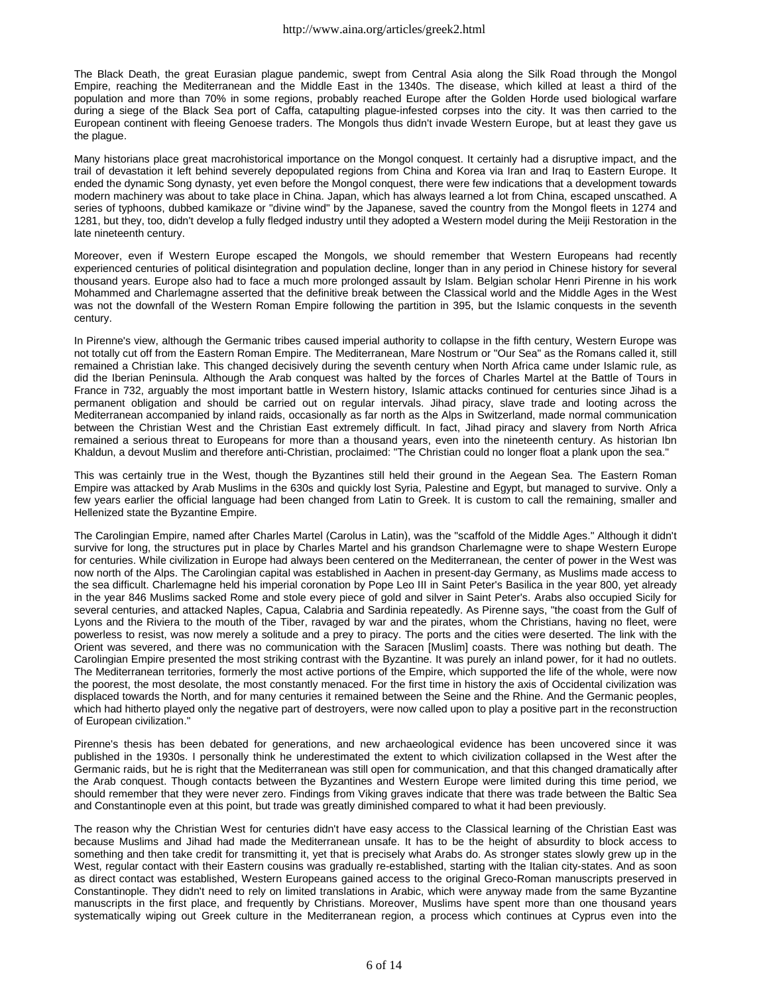The Black Death, the great Eurasian plague pandemic, swept from Central Asia along the Silk Road through the Mongol Empire, reaching the Mediterranean and the Middle East in the 1340s. The disease, which killed at least a third of the population and more than 70% in some regions, probably reached Europe after the Golden Horde used biological warfare during a siege of the Black Sea port of Caffa, catapulting plague-infested corpses into the city. It was then carried to the European continent with fleeing Genoese traders. The Mongols thus didn't invade Western Europe, but at least they gave us the plague.

Many historians place great macrohistorical importance on the Mongol conquest. It certainly had a disruptive impact, and the trail of devastation it left behind severely depopulated regions from China and Korea via Iran and Iraq to Eastern Europe. It ended the dynamic Song dynasty, yet even before the Mongol conquest, there were few indications that a development towards modern machinery was about to take place in China. Japan, which has always learned a lot from China, escaped unscathed. A series of typhoons, dubbed kamikaze or "divine wind" by the Japanese, saved the country from the Mongol fleets in 1274 and 1281, but they, too, didn't develop a fully fledged industry until they adopted a Western model during the Meiji Restoration in the late nineteenth century.

Moreover, even if Western Europe escaped the Mongols, we should remember that Western Europeans had recently experienced centuries of political disintegration and population decline, longer than in any period in Chinese history for several thousand years. Europe also had to face a much more prolonged assault by Islam. Belgian scholar Henri Pirenne in his work Mohammed and Charlemagne asserted that the definitive break between the Classical world and the Middle Ages in the West was not the downfall of the Western Roman Empire following the partition in 395, but the Islamic conquests in the seventh century.

In Pirenne's view, although the Germanic tribes caused imperial authority to collapse in the fifth century, Western Europe was not totally cut off from the Eastern Roman Empire. The Mediterranean, Mare Nostrum or "Our Sea" as the Romans called it, still remained a Christian lake. This changed decisively during the seventh century when North Africa came under Islamic rule, as did the Iberian Peninsula. Although the Arab conquest was halted by the forces of Charles Martel at the Battle of Tours in France in 732, arguably the most important battle in Western history, Islamic attacks continued for centuries since Jihad is a permanent obligation and should be carried out on regular intervals. Jihad piracy, slave trade and looting across the Mediterranean accompanied by inland raids, occasionally as far north as the Alps in Switzerland, made normal communication between the Christian West and the Christian East extremely difficult. In fact, Jihad piracy and slavery from North Africa remained a serious threat to Europeans for more than a thousand years, even into the nineteenth century. As historian Ibn Khaldun, a devout Muslim and therefore anti-Christian, proclaimed: "The Christian could no longer float a plank upon the sea."

This was certainly true in the West, though the Byzantines still held their ground in the Aegean Sea. The Eastern Roman Empire was attacked by Arab Muslims in the 630s and quickly lost Syria, Palestine and Egypt, but managed to survive. Only a few years earlier the official language had been changed from Latin to Greek. It is custom to call the remaining, smaller and Hellenized state the Byzantine Empire.

The Carolingian Empire, named after Charles Martel (Carolus in Latin), was the "scaffold of the Middle Ages." Although it didn't survive for long, the structures put in place by Charles Martel and his grandson Charlemagne were to shape Western Europe for centuries. While civilization in Europe had always been centered on the Mediterranean, the center of power in the West was now north of the Alps. The Carolingian capital was established in Aachen in present-day Germany, as Muslims made access to the sea difficult. Charlemagne held his imperial coronation by Pope Leo III in Saint Peter's Basilica in the year 800, yet already in the year 846 Muslims sacked Rome and stole every piece of gold and silver in Saint Peter's. Arabs also occupied Sicily for several centuries, and attacked Naples, Capua, Calabria and Sardinia repeatedly. As Pirenne says, "the coast from the Gulf of Lyons and the Riviera to the mouth of the Tiber, ravaged by war and the pirates, whom the Christians, having no fleet, were powerless to resist, was now merely a solitude and a prey to piracy. The ports and the cities were deserted. The link with the Orient was severed, and there was no communication with the Saracen [Muslim] coasts. There was nothing but death. The Carolingian Empire presented the most striking contrast with the Byzantine. It was purely an inland power, for it had no outlets. The Mediterranean territories, formerly the most active portions of the Empire, which supported the life of the whole, were now the poorest, the most desolate, the most constantly menaced. For the first time in history the axis of Occidental civilization was displaced towards the North, and for many centuries it remained between the Seine and the Rhine. And the Germanic peoples, which had hitherto played only the negative part of destroyers, were now called upon to play a positive part in the reconstruction of European civilization."

Pirenne's thesis has been debated for generations, and new archaeological evidence has been uncovered since it was published in the 1930s. I personally think he underestimated the extent to which civilization collapsed in the West after the Germanic raids, but he is right that the Mediterranean was still open for communication, and that this changed dramatically after the Arab conquest. Though contacts between the Byzantines and Western Europe were limited during this time period, we should remember that they were never zero. Findings from Viking graves indicate that there was trade between the Baltic Sea and Constantinople even at this point, but trade was greatly diminished compared to what it had been previously.

The reason why the Christian West for centuries didn't have easy access to the Classical learning of the Christian East was because Muslims and Jihad had made the Mediterranean unsafe. It has to be the height of absurdity to block access to something and then take credit for transmitting it, yet that is precisely what Arabs do. As stronger states slowly grew up in the West, regular contact with their Eastern cousins was gradually re-established, starting with the Italian city-states. And as soon as direct contact was established, Western Europeans gained access to the original Greco-Roman manuscripts preserved in Constantinople. They didn't need to rely on limited translations in Arabic, which were anyway made from the same Byzantine manuscripts in the first place, and frequently by Christians. Moreover, Muslims have spent more than one thousand years systematically wiping out Greek culture in the Mediterranean region, a process which continues at Cyprus even into the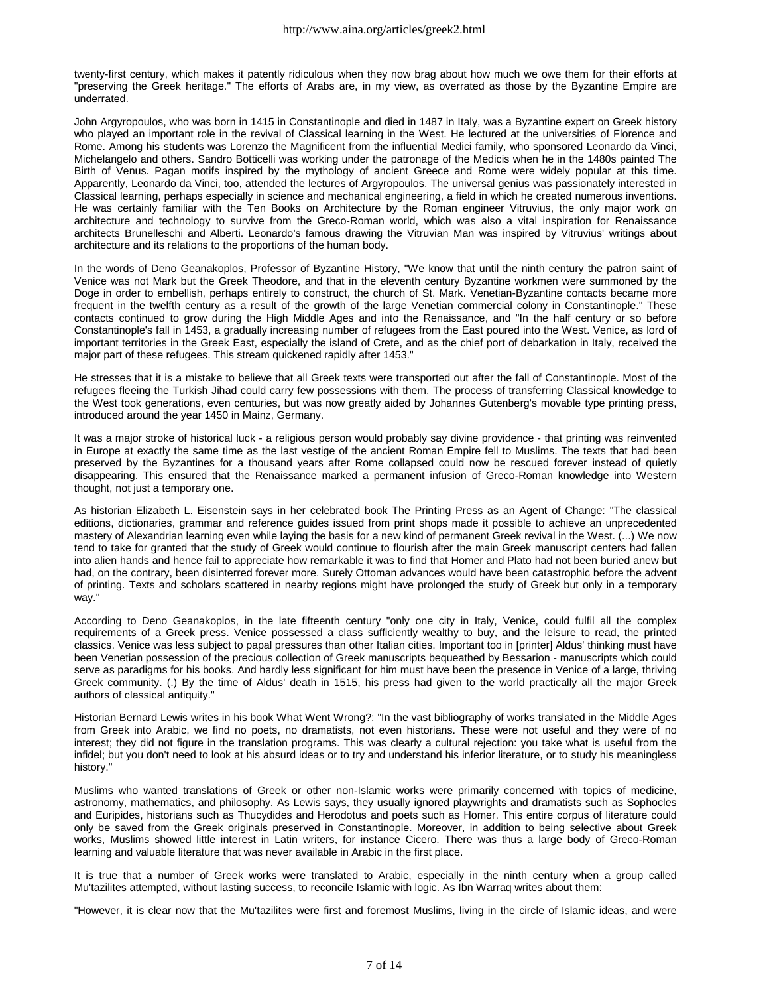twenty-first century, which makes it patently ridiculous when they now brag about how much we owe them for their efforts at "preserving the Greek heritage." The efforts of Arabs are, in my view, as overrated as those by the Byzantine Empire are underrated.

John Argyropoulos, who was born in 1415 in Constantinople and died in 1487 in Italy, was a Byzantine expert on Greek history who played an important role in the revival of Classical learning in the West. He lectured at the universities of Florence and Rome. Among his students was Lorenzo the Magnificent from the influential Medici family, who sponsored Leonardo da Vinci, Michelangelo and others. Sandro Botticelli was working under the patronage of the Medicis when he in the 1480s painted The Birth of Venus. Pagan motifs inspired by the mythology of ancient Greece and Rome were widely popular at this time. Apparently, Leonardo da Vinci, too, attended the lectures of Argyropoulos. The universal genius was passionately interested in Classical learning, perhaps especially in science and mechanical engineering, a field in which he created numerous inventions. He was certainly familiar with the Ten Books on Architecture by the Roman engineer Vitruvius, the only major work on architecture and technology to survive from the Greco-Roman world, which was also a vital inspiration for Renaissance architects Brunelleschi and Alberti. Leonardo's famous drawing the Vitruvian Man was inspired by Vitruvius' writings about architecture and its relations to the proportions of the human body.

In the words of Deno Geanakoplos, Professor of Byzantine History, "We know that until the ninth century the patron saint of Venice was not Mark but the Greek Theodore, and that in the eleventh century Byzantine workmen were summoned by the Doge in order to embellish, perhaps entirely to construct, the church of St. Mark. Venetian-Byzantine contacts became more frequent in the twelfth century as a result of the growth of the large Venetian commercial colony in Constantinople." These contacts continued to grow during the High Middle Ages and into the Renaissance, and "In the half century or so before Constantinople's fall in 1453, a gradually increasing number of refugees from the East poured into the West. Venice, as lord of important territories in the Greek East, especially the island of Crete, and as the chief port of debarkation in Italy, received the major part of these refugees. This stream quickened rapidly after 1453."

He stresses that it is a mistake to believe that all Greek texts were transported out after the fall of Constantinople. Most of the refugees fleeing the Turkish Jihad could carry few possessions with them. The process of transferring Classical knowledge to the West took generations, even centuries, but was now greatly aided by Johannes Gutenberg's movable type printing press, introduced around the year 1450 in Mainz, Germany.

It was a major stroke of historical luck - a religious person would probably say divine providence - that printing was reinvented in Europe at exactly the same time as the last vestige of the ancient Roman Empire fell to Muslims. The texts that had been preserved by the Byzantines for a thousand years after Rome collapsed could now be rescued forever instead of quietly disappearing. This ensured that the Renaissance marked a permanent infusion of Greco-Roman knowledge into Western thought, not just a temporary one.

As historian Elizabeth L. Eisenstein says in her celebrated book The Printing Press as an Agent of Change: "The classical editions, dictionaries, grammar and reference guides issued from print shops made it possible to achieve an unprecedented mastery of Alexandrian learning even while laying the basis for a new kind of permanent Greek revival in the West. (...) We now tend to take for granted that the study of Greek would continue to flourish after the main Greek manuscript centers had fallen into alien hands and hence fail to appreciate how remarkable it was to find that Homer and Plato had not been buried anew but had, on the contrary, been disinterred forever more. Surely Ottoman advances would have been catastrophic before the advent of printing. Texts and scholars scattered in nearby regions might have prolonged the study of Greek but only in a temporary way."

According to Deno Geanakoplos, in the late fifteenth century "only one city in Italy, Venice, could fulfil all the complex requirements of a Greek press. Venice possessed a class sufficiently wealthy to buy, and the leisure to read, the printed classics. Venice was less subject to papal pressures than other Italian cities. Important too in [printer] Aldus' thinking must have been Venetian possession of the precious collection of Greek manuscripts bequeathed by Bessarion - manuscripts which could serve as paradigms for his books. And hardly less significant for him must have been the presence in Venice of a large, thriving Greek community. (.) By the time of Aldus' death in 1515, his press had given to the world practically all the major Greek authors of classical antiquity."

Historian Bernard Lewis writes in his book What Went Wrong?: "In the vast bibliography of works translated in the Middle Ages from Greek into Arabic, we find no poets, no dramatists, not even historians. These were not useful and they were of no interest; they did not figure in the translation programs. This was clearly a cultural rejection: you take what is useful from the infidel; but you don't need to look at his absurd ideas or to try and understand his inferior literature, or to study his meaningless history."

Muslims who wanted translations of Greek or other non-Islamic works were primarily concerned with topics of medicine, astronomy, mathematics, and philosophy. As Lewis says, they usually ignored playwrights and dramatists such as Sophocles and Euripides, historians such as Thucydides and Herodotus and poets such as Homer. This entire corpus of literature could only be saved from the Greek originals preserved in Constantinople. Moreover, in addition to being selective about Greek works, Muslims showed little interest in Latin writers, for instance Cicero. There was thus a large body of Greco-Roman learning and valuable literature that was never available in Arabic in the first place.

It is true that a number of Greek works were translated to Arabic, especially in the ninth century when a group called Mu'tazilites attempted, without lasting success, to reconcile Islamic with logic. As Ibn Warraq writes about them:

"However, it is clear now that the Mu'tazilites were first and foremost Muslims, living in the circle of Islamic ideas, and were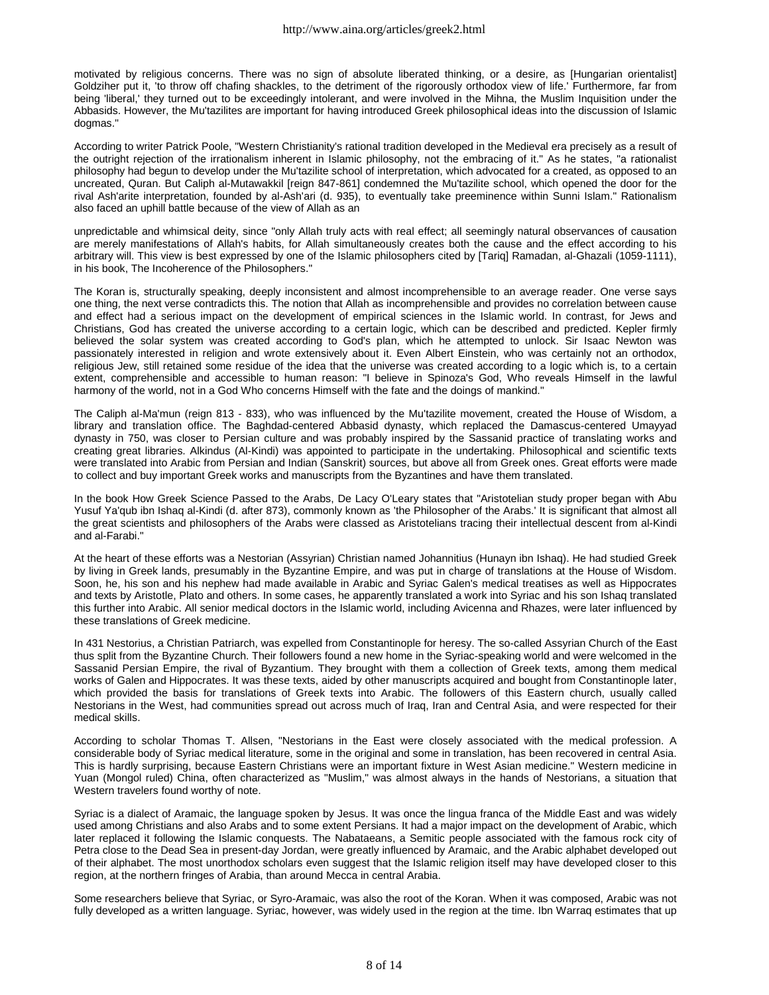motivated by religious concerns. There was no sign of absolute liberated thinking, or a desire, as [Hungarian orientalist] Goldziher put it, 'to throw off chafing shackles, to the detriment of the rigorously orthodox view of life.' Furthermore, far from being 'liberal,' they turned out to be exceedingly intolerant, and were involved in the Mihna, the Muslim Inquisition under the Abbasids. However, the Mu'tazilites are important for having introduced Greek philosophical ideas into the discussion of Islamic dogmas."

According to writer Patrick Poole, "Western Christianity's rational tradition developed in the Medieval era precisely as a result of the outright rejection of the irrationalism inherent in Islamic philosophy, not the embracing of it." As he states, "a rationalist philosophy had begun to develop under the Mu'tazilite school of interpretation, which advocated for a created, as opposed to an uncreated, Quran. But Caliph al-Mutawakkil [reign 847-861] condemned the Mu'tazilite school, which opened the door for the rival Ash'arite interpretation, founded by al-Ash'ari (d. 935), to eventually take preeminence within Sunni Islam." Rationalism also faced an uphill battle because of the view of Allah as an

unpredictable and whimsical deity, since "only Allah truly acts with real effect; all seemingly natural observances of causation are merely manifestations of Allah's habits, for Allah simultaneously creates both the cause and the effect according to his arbitrary will. This view is best expressed by one of the Islamic philosophers cited by [Tariq] Ramadan, al-Ghazali (1059-1111), in his book, The Incoherence of the Philosophers."

The Koran is, structurally speaking, deeply inconsistent and almost incomprehensible to an average reader. One verse says one thing, the next verse contradicts this. The notion that Allah as incomprehensible and provides no correlation between cause and effect had a serious impact on the development of empirical sciences in the Islamic world. In contrast, for Jews and Christians, God has created the universe according to a certain logic, which can be described and predicted. Kepler firmly believed the solar system was created according to God's plan, which he attempted to unlock. Sir Isaac Newton was passionately interested in religion and wrote extensively about it. Even Albert Einstein, who was certainly not an orthodox, religious Jew, still retained some residue of the idea that the universe was created according to a logic which is, to a certain extent, comprehensible and accessible to human reason: "I believe in Spinoza's God, Who reveals Himself in the lawful harmony of the world, not in a God Who concerns Himself with the fate and the doings of mankind."

The Caliph al-Ma'mun (reign 813 - 833), who was influenced by the Mu'tazilite movement, created the House of Wisdom, a library and translation office. The Baghdad-centered Abbasid dynasty, which replaced the Damascus-centered Umayyad dynasty in 750, was closer to Persian culture and was probably inspired by the Sassanid practice of translating works and creating great libraries. Alkindus (Al-Kindi) was appointed to participate in the undertaking. Philosophical and scientific texts were translated into Arabic from Persian and Indian (Sanskrit) sources, but above all from Greek ones. Great efforts were made to collect and buy important Greek works and manuscripts from the Byzantines and have them translated.

In the book How Greek Science Passed to the Arabs, De Lacy O'Leary states that "Aristotelian study proper began with Abu Yusuf Ya'qub ibn Ishaq al-Kindi (d. after 873), commonly known as 'the Philosopher of the Arabs.' It is significant that almost all the great scientists and philosophers of the Arabs were classed as Aristotelians tracing their intellectual descent from al-Kindi and al-Farabi."

At the heart of these efforts was a Nestorian (Assyrian) Christian named Johannitius (Hunayn ibn Ishaq). He had studied Greek by living in Greek lands, presumably in the Byzantine Empire, and was put in charge of translations at the House of Wisdom. Soon, he, his son and his nephew had made available in Arabic and Syriac Galen's medical treatises as well as Hippocrates and texts by Aristotle, Plato and others. In some cases, he apparently translated a work into Syriac and his son Ishaq translated this further into Arabic. All senior medical doctors in the Islamic world, including Avicenna and Rhazes, were later influenced by these translations of Greek medicine.

In 431 Nestorius, a Christian Patriarch, was expelled from Constantinople for heresy. The so-called Assyrian Church of the East thus split from the Byzantine Church. Their followers found a new home in the Syriac-speaking world and were welcomed in the Sassanid Persian Empire, the rival of Byzantium. They brought with them a collection of Greek texts, among them medical works of Galen and Hippocrates. It was these texts, aided by other manuscripts acquired and bought from Constantinople later, which provided the basis for translations of Greek texts into Arabic. The followers of this Eastern church, usually called Nestorians in the West, had communities spread out across much of Iraq, Iran and Central Asia, and were respected for their medical skills.

According to scholar Thomas T. Allsen, "Nestorians in the East were closely associated with the medical profession. A considerable body of Syriac medical literature, some in the original and some in translation, has been recovered in central Asia. This is hardly surprising, because Eastern Christians were an important fixture in West Asian medicine." Western medicine in Yuan (Mongol ruled) China, often characterized as "Muslim," was almost always in the hands of Nestorians, a situation that Western travelers found worthy of note.

Syriac is a dialect of Aramaic, the language spoken by Jesus. It was once the lingua franca of the Middle East and was widely used among Christians and also Arabs and to some extent Persians. It had a major impact on the development of Arabic, which later replaced it following the Islamic conquests. The Nabataeans, a Semitic people associated with the famous rock city of Petra close to the Dead Sea in present-day Jordan, were greatly influenced by Aramaic, and the Arabic alphabet developed out of their alphabet. The most unorthodox scholars even suggest that the Islamic religion itself may have developed closer to this region, at the northern fringes of Arabia, than around Mecca in central Arabia.

Some researchers believe that Syriac, or Syro-Aramaic, was also the root of the Koran. When it was composed, Arabic was not fully developed as a written language. Syriac, however, was widely used in the region at the time. Ibn Warraq estimates that up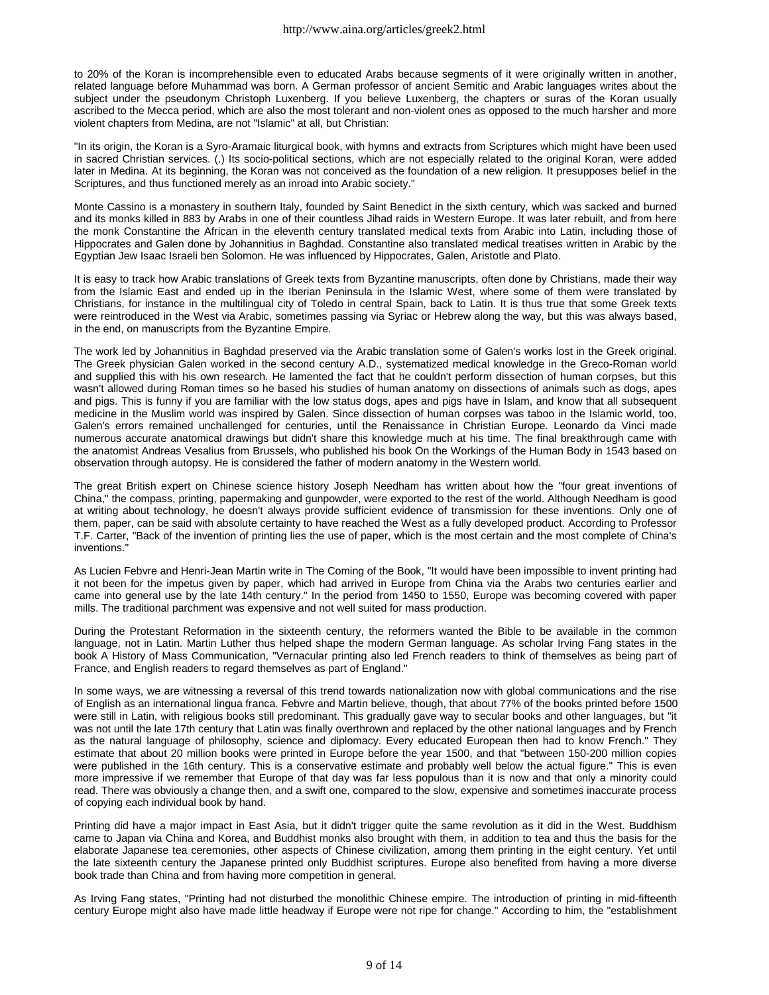to 20% of the Koran is incomprehensible even to educated Arabs because segments of it were originally written in another, related language before Muhammad was born. A German professor of ancient Semitic and Arabic languages writes about the subject under the pseudonym Christoph Luxenberg. If you believe Luxenberg, the chapters or suras of the Koran usually ascribed to the Mecca period, which are also the most tolerant and non-violent ones as opposed to the much harsher and more violent chapters from Medina, are not "Islamic" at all, but Christian:

"In its origin, the Koran is a Syro-Aramaic liturgical book, with hymns and extracts from Scriptures which might have been used in sacred Christian services. (.) Its socio-political sections, which are not especially related to the original Koran, were added later in Medina. At its beginning, the Koran was not conceived as the foundation of a new religion. It presupposes belief in the Scriptures, and thus functioned merely as an inroad into Arabic society."

Monte Cassino is a monastery in southern Italy, founded by Saint Benedict in the sixth century, which was sacked and burned and its monks killed in 883 by Arabs in one of their countless Jihad raids in Western Europe. It was later rebuilt, and from here the monk Constantine the African in the eleventh century translated medical texts from Arabic into Latin, including those of Hippocrates and Galen done by Johannitius in Baghdad. Constantine also translated medical treatises written in Arabic by the Egyptian Jew Isaac Israeli ben Solomon. He was influenced by Hippocrates, Galen, Aristotle and Plato.

It is easy to track how Arabic translations of Greek texts from Byzantine manuscripts, often done by Christians, made their way from the Islamic East and ended up in the Iberian Peninsula in the Islamic West, where some of them were translated by Christians, for instance in the multilingual city of Toledo in central Spain, back to Latin. It is thus true that some Greek texts were reintroduced in the West via Arabic, sometimes passing via Syriac or Hebrew along the way, but this was always based, in the end, on manuscripts from the Byzantine Empire.

The work led by Johannitius in Baghdad preserved via the Arabic translation some of Galen's works lost in the Greek original. The Greek physician Galen worked in the second century A.D., systematized medical knowledge in the Greco-Roman world and supplied this with his own research. He lamented the fact that he couldn't perform dissection of human corpses, but this wasn't allowed during Roman times so he based his studies of human anatomy on dissections of animals such as dogs, apes and pigs. This is funny if you are familiar with the low status dogs, apes and pigs have in Islam, and know that all subsequent medicine in the Muslim world was inspired by Galen. Since dissection of human corpses was taboo in the Islamic world, too, Galen's errors remained unchallenged for centuries, until the Renaissance in Christian Europe. Leonardo da Vinci made numerous accurate anatomical drawings but didn't share this knowledge much at his time. The final breakthrough came with the anatomist Andreas Vesalius from Brussels, who published his book On the Workings of the Human Body in 1543 based on observation through autopsy. He is considered the father of modern anatomy in the Western world.

The great British expert on Chinese science history Joseph Needham has written about how the "four great inventions of China," the compass, printing, papermaking and gunpowder, were exported to the rest of the world. Although Needham is good at writing about technology, he doesn't always provide sufficient evidence of transmission for these inventions. Only one of them, paper, can be said with absolute certainty to have reached the West as a fully developed product. According to Professor T.F. Carter, "Back of the invention of printing lies the use of paper, which is the most certain and the most complete of China's inventions."

As Lucien Febvre and Henri-Jean Martin write in The Coming of the Book, "It would have been impossible to invent printing had it not been for the impetus given by paper, which had arrived in Europe from China via the Arabs two centuries earlier and came into general use by the late 14th century." In the period from 1450 to 1550, Europe was becoming covered with paper mills. The traditional parchment was expensive and not well suited for mass production.

During the Protestant Reformation in the sixteenth century, the reformers wanted the Bible to be available in the common language, not in Latin. Martin Luther thus helped shape the modern German language. As scholar Irving Fang states in the book A History of Mass Communication, "Vernacular printing also led French readers to think of themselves as being part of France, and English readers to regard themselves as part of England."

In some ways, we are witnessing a reversal of this trend towards nationalization now with global communications and the rise of English as an international lingua franca. Febvre and Martin believe, though, that about 77% of the books printed before 1500 were still in Latin, with religious books still predominant. This gradually gave way to secular books and other languages, but "it was not until the late 17th century that Latin was finally overthrown and replaced by the other national languages and by French as the natural language of philosophy, science and diplomacy. Every educated European then had to know French." They estimate that about 20 million books were printed in Europe before the year 1500, and that "between 150-200 million copies were published in the 16th century. This is a conservative estimate and probably well below the actual figure." This is even more impressive if we remember that Europe of that day was far less populous than it is now and that only a minority could read. There was obviously a change then, and a swift one, compared to the slow, expensive and sometimes inaccurate process of copying each individual book by hand.

Printing did have a major impact in East Asia, but it didn't trigger quite the same revolution as it did in the West. Buddhism came to Japan via China and Korea, and Buddhist monks also brought with them, in addition to tea and thus the basis for the elaborate Japanese tea ceremonies, other aspects of Chinese civilization, among them printing in the eight century. Yet until the late sixteenth century the Japanese printed only Buddhist scriptures. Europe also benefited from having a more diverse book trade than China and from having more competition in general.

As Irving Fang states, "Printing had not disturbed the monolithic Chinese empire. The introduction of printing in mid-fifteenth century Europe might also have made little headway if Europe were not ripe for change." According to him, the "establishment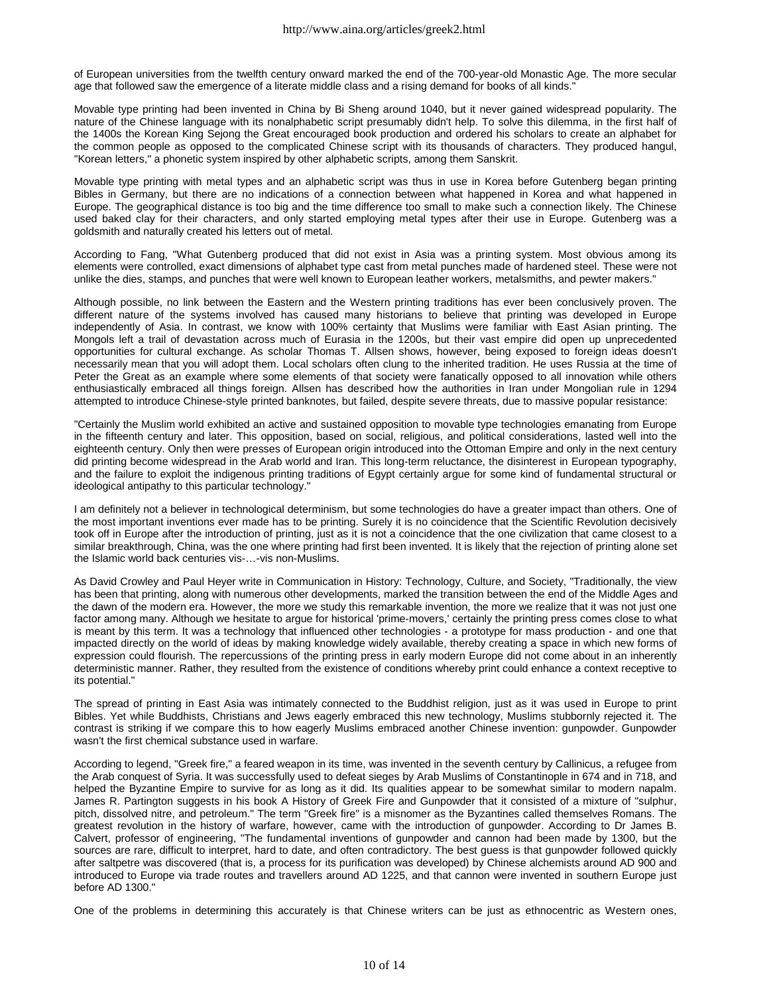of European universities from the twelfth century onward marked the end of the 700-year-old Monastic Age. The more secular age that followed saw the emergence of a literate middle class and a rising demand for books of all kinds."

Movable type printing had been invented in China by Bi Sheng around 1040, but it never gained widespread popularity. The nature of the Chinese language with its nonalphabetic script presumably didn't help. To solve this dilemma, in the first half of the 1400s the Korean King Sejong the Great encouraged book production and ordered his scholars to create an alphabet for the common people as opposed to the complicated Chinese script with its thousands of characters. They produced hangul, "Korean letters," a phonetic system inspired by other alphabetic scripts, among them Sanskrit.

Movable type printing with metal types and an alphabetic script was thus in use in Korea before Gutenberg began printing Bibles in Germany, but there are no indications of a connection between what happened in Korea and what happened in Europe. The geographical distance is too big and the time difference too small to make such a connection likely. The Chinese used baked clay for their characters, and only started employing metal types after their use in Europe. Gutenberg was a goldsmith and naturally created his letters out of metal.

According to Fang, "What Gutenberg produced that did not exist in Asia was a printing system. Most obvious among its elements were controlled, exact dimensions of alphabet type cast from metal punches made of hardened steel. These were not unlike the dies, stamps, and punches that were well known to European leather workers, metalsmiths, and pewter makers."

Although possible, no link between the Eastern and the Western printing traditions has ever been conclusively proven. The different nature of the systems involved has caused many historians to believe that printing was developed in Europe independently of Asia. In contrast, we know with 100% certainty that Muslims were familiar with East Asian printing. The Mongols left a trail of devastation across much of Eurasia in the 1200s, but their vast empire did open up unprecedented opportunities for cultural exchange. As scholar Thomas T. Allsen shows, however, being exposed to foreign ideas doesn't necessarily mean that you will adopt them. Local scholars often clung to the inherited tradition. He uses Russia at the time of Peter the Great as an example where some elements of that society were fanatically opposed to all innovation while others enthusiastically embraced all things foreign. Allsen has described how the authorities in Iran under Mongolian rule in 1294 attempted to introduce Chinese-style printed banknotes, but failed, despite severe threats, due to massive popular resistance:

"Certainly the Muslim world exhibited an active and sustained opposition to movable type technologies emanating from Europe in the fifteenth century and later. This opposition, based on social, religious, and political considerations, lasted well into the eighteenth century. Only then were presses of European origin introduced into the Ottoman Empire and only in the next century did printing become widespread in the Arab world and Iran. This long-term reluctance, the disinterest in European typography, and the failure to exploit the indigenous printing traditions of Egypt certainly argue for some kind of fundamental structural or ideological antipathy to this particular technology."

I am definitely not a believer in technological determinism, but some technologies do have a greater impact than others. One of the most important inventions ever made has to be printing. Surely it is no coincidence that the Scientific Revolution decisively took off in Europe after the introduction of printing, just as it is not a coincidence that the one civilization that came closest to a similar breakthrough, China, was the one where printing had first been invented. It is likely that the rejection of printing alone set the Islamic world back centuries vis-…-vis non-Muslims.

As David Crowley and Paul Heyer write in Communication in History: Technology, Culture, and Society, "Traditionally, the view has been that printing, along with numerous other developments, marked the transition between the end of the Middle Ages and the dawn of the modern era. However, the more we study this remarkable invention, the more we realize that it was not just one factor among many. Although we hesitate to argue for historical 'prime-movers,' certainly the printing press comes close to what is meant by this term. It was a technology that influenced other technologies - a prototype for mass production - and one that impacted directly on the world of ideas by making knowledge widely available, thereby creating a space in which new forms of expression could flourish. The repercussions of the printing press in early modern Europe did not come about in an inherently deterministic manner. Rather, they resulted from the existence of conditions whereby print could enhance a context receptive to its potential."

The spread of printing in East Asia was intimately connected to the Buddhist religion, just as it was used in Europe to print Bibles. Yet while Buddhists, Christians and Jews eagerly embraced this new technology, Muslims stubbornly rejected it. The contrast is striking if we compare this to how eagerly Muslims embraced another Chinese invention: gunpowder. Gunpowder wasn't the first chemical substance used in warfare.

According to legend, "Greek fire," a feared weapon in its time, was invented in the seventh century by Callinicus, a refugee from the Arab conquest of Syria. It was successfully used to defeat sieges by Arab Muslims of Constantinople in 674 and in 718, and helped the Byzantine Empire to survive for as long as it did. Its qualities appear to be somewhat similar to modern napalm. James R. Partington suggests in his book A History of Greek Fire and Gunpowder that it consisted of a mixture of "sulphur, pitch, dissolved nitre, and petroleum." The term "Greek fire" is a misnomer as the Byzantines called themselves Romans. The greatest revolution in the history of warfare, however, came with the introduction of gunpowder. According to Dr James B. Calvert, professor of engineering, "The fundamental inventions of gunpowder and cannon had been made by 1300, but the sources are rare, difficult to interpret, hard to date, and often contradictory. The best guess is that gunpowder followed quickly after saltpetre was discovered (that is, a process for its purification was developed) by Chinese alchemists around AD 900 and introduced to Europe via trade routes and travellers around AD 1225, and that cannon were invented in southern Europe just before AD 1300."

One of the problems in determining this accurately is that Chinese writers can be just as ethnocentric as Western ones,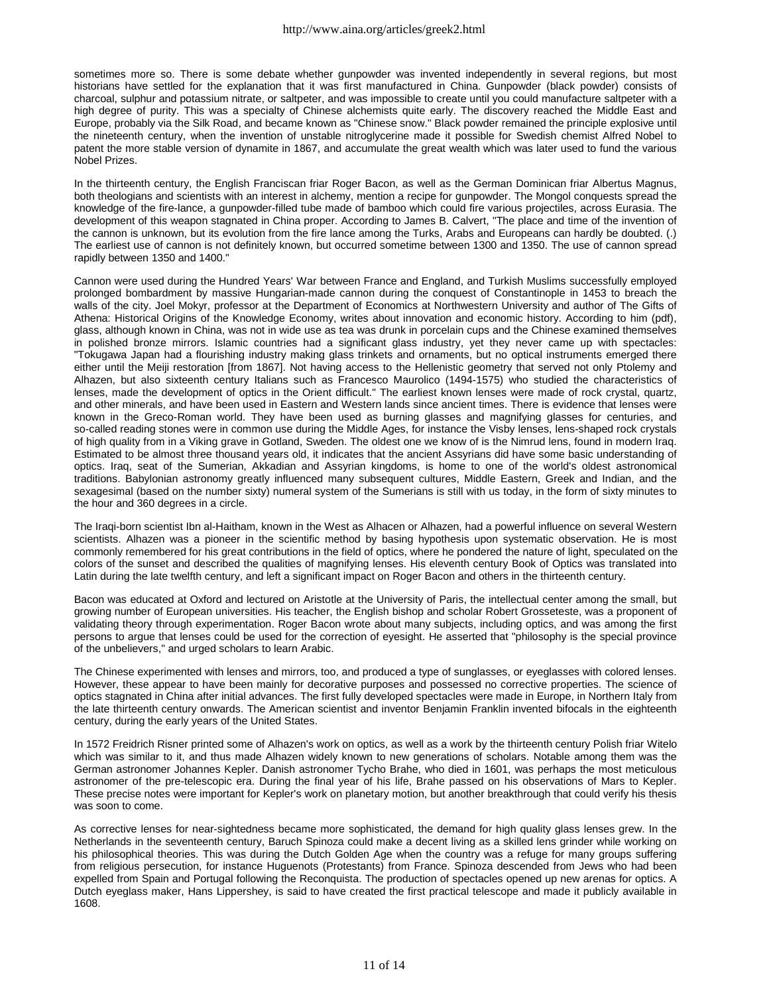sometimes more so. There is some debate whether gunpowder was invented independently in several regions, but most historians have settled for the explanation that it was first manufactured in China. Gunpowder (black powder) consists of charcoal, sulphur and potassium nitrate, or saltpeter, and was impossible to create until you could manufacture saltpeter with a high degree of purity. This was a specialty of Chinese alchemists quite early. The discovery reached the Middle East and Europe, probably via the Silk Road, and became known as "Chinese snow." Black powder remained the principle explosive until the nineteenth century, when the invention of unstable nitroglycerine made it possible for Swedish chemist Alfred Nobel to patent the more stable version of dynamite in 1867, and accumulate the great wealth which was later used to fund the various Nobel Prizes.

In the thirteenth century, the English Franciscan friar Roger Bacon, as well as the German Dominican friar Albertus Magnus, both theologians and scientists with an interest in alchemy, mention a recipe for gunpowder. The Mongol conquests spread the knowledge of the fire-lance, a gunpowder-filled tube made of bamboo which could fire various projectiles, across Eurasia. The development of this weapon stagnated in China proper. According to James B. Calvert, "The place and time of the invention of the cannon is unknown, but its evolution from the fire lance among the Turks, Arabs and Europeans can hardly be doubted. (.) The earliest use of cannon is not definitely known, but occurred sometime between 1300 and 1350. The use of cannon spread rapidly between 1350 and 1400."

Cannon were used during the Hundred Years' War between France and England, and Turkish Muslims successfully employed prolonged bombardment by massive Hungarian-made cannon during the conquest of Constantinople in 1453 to breach the walls of the city. Joel Mokyr, professor at the Department of Economics at Northwestern University and author of The Gifts of Athena: Historical Origins of the Knowledge Economy, writes about innovation and economic history. According to him (pdf), glass, although known in China, was not in wide use as tea was drunk in porcelain cups and the Chinese examined themselves in polished bronze mirrors. Islamic countries had a significant glass industry, yet they never came up with spectacles: "Tokugawa Japan had a flourishing industry making glass trinkets and ornaments, but no optical instruments emerged there either until the Meiji restoration [from 1867]. Not having access to the Hellenistic geometry that served not only Ptolemy and Alhazen, but also sixteenth century Italians such as Francesco Maurolico (1494-1575) who studied the characteristics of lenses, made the development of optics in the Orient difficult." The earliest known lenses were made of rock crystal, quartz, and other minerals, and have been used in Eastern and Western lands since ancient times. There is evidence that lenses were known in the Greco-Roman world. They have been used as burning glasses and magnifying glasses for centuries, and so-called reading stones were in common use during the Middle Ages, for instance the Visby lenses, lens-shaped rock crystals of high quality from in a Viking grave in Gotland, Sweden. The oldest one we know of is the Nimrud lens, found in modern Iraq. Estimated to be almost three thousand years old, it indicates that the ancient Assyrians did have some basic understanding of optics. Iraq, seat of the Sumerian, Akkadian and Assyrian kingdoms, is home to one of the world's oldest astronomical traditions. Babylonian astronomy greatly influenced many subsequent cultures, Middle Eastern, Greek and Indian, and the sexagesimal (based on the number sixty) numeral system of the Sumerians is still with us today, in the form of sixty minutes to the hour and 360 degrees in a circle.

The Iraqi-born scientist Ibn al-Haitham, known in the West as Alhacen or Alhazen, had a powerful influence on several Western scientists. Alhazen was a pioneer in the scientific method by basing hypothesis upon systematic observation. He is most commonly remembered for his great contributions in the field of optics, where he pondered the nature of light, speculated on the colors of the sunset and described the qualities of magnifying lenses. His eleventh century Book of Optics was translated into Latin during the late twelfth century, and left a significant impact on Roger Bacon and others in the thirteenth century.

Bacon was educated at Oxford and lectured on Aristotle at the University of Paris, the intellectual center among the small, but growing number of European universities. His teacher, the English bishop and scholar Robert Grosseteste, was a proponent of validating theory through experimentation. Roger Bacon wrote about many subjects, including optics, and was among the first persons to argue that lenses could be used for the correction of eyesight. He asserted that "philosophy is the special province of the unbelievers," and urged scholars to learn Arabic.

The Chinese experimented with lenses and mirrors, too, and produced a type of sunglasses, or eyeglasses with colored lenses. However, these appear to have been mainly for decorative purposes and possessed no corrective properties. The science of optics stagnated in China after initial advances. The first fully developed spectacles were made in Europe, in Northern Italy from the late thirteenth century onwards. The American scientist and inventor Benjamin Franklin invented bifocals in the eighteenth century, during the early years of the United States.

In 1572 Freidrich Risner printed some of Alhazen's work on optics, as well as a work by the thirteenth century Polish friar Witelo which was similar to it, and thus made Alhazen widely known to new generations of scholars. Notable among them was the German astronomer Johannes Kepler. Danish astronomer Tycho Brahe, who died in 1601, was perhaps the most meticulous astronomer of the pre-telescopic era. During the final year of his life, Brahe passed on his observations of Mars to Kepler. These precise notes were important for Kepler's work on planetary motion, but another breakthrough that could verify his thesis was soon to come.

As corrective lenses for near-sightedness became more sophisticated, the demand for high quality glass lenses grew. In the Netherlands in the seventeenth century, Baruch Spinoza could make a decent living as a skilled lens grinder while working on his philosophical theories. This was during the Dutch Golden Age when the country was a refuge for many groups suffering from religious persecution, for instance Huguenots (Protestants) from France. Spinoza descended from Jews who had been expelled from Spain and Portugal following the Reconquista. The production of spectacles opened up new arenas for optics. A Dutch eyeglass maker, Hans Lippershey, is said to have created the first practical telescope and made it publicly available in 1608.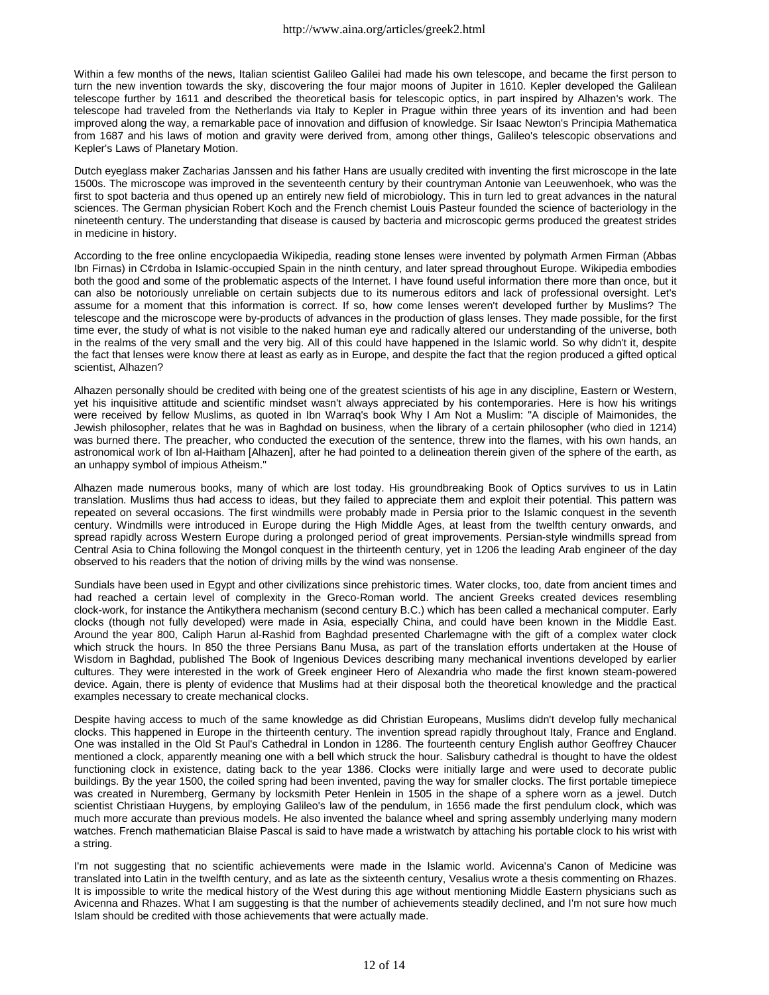Within a few months of the news, Italian scientist Galileo Galilei had made his own telescope, and became the first person to turn the new invention towards the sky, discovering the four major moons of Jupiter in 1610. Kepler developed the Galilean telescope further by 1611 and described the theoretical basis for telescopic optics, in part inspired by Alhazen's work. The telescope had traveled from the Netherlands via Italy to Kepler in Prague within three years of its invention and had been improved along the way, a remarkable pace of innovation and diffusion of knowledge. Sir Isaac Newton's Principia Mathematica from 1687 and his laws of motion and gravity were derived from, among other things, Galileo's telescopic observations and Kepler's Laws of Planetary Motion.

Dutch eyeglass maker Zacharias Janssen and his father Hans are usually credited with inventing the first microscope in the late 1500s. The microscope was improved in the seventeenth century by their countryman Antonie van Leeuwenhoek, who was the first to spot bacteria and thus opened up an entirely new field of microbiology. This in turn led to great advances in the natural sciences. The German physician Robert Koch and the French chemist Louis Pasteur founded the science of bacteriology in the nineteenth century. The understanding that disease is caused by bacteria and microscopic germs produced the greatest strides in medicine in history.

According to the free online encyclopaedia Wikipedia, reading stone lenses were invented by polymath Armen Firman (Abbas Ibn Firnas) in C¢rdoba in Islamic-occupied Spain in the ninth century, and later spread throughout Europe. Wikipedia embodies both the good and some of the problematic aspects of the Internet. I have found useful information there more than once, but it can also be notoriously unreliable on certain subjects due to its numerous editors and lack of professional oversight. Let's assume for a moment that this information is correct. If so, how come lenses weren't developed further by Muslims? The telescope and the microscope were by-products of advances in the production of glass lenses. They made possible, for the first time ever, the study of what is not visible to the naked human eye and radically altered our understanding of the universe, both in the realms of the very small and the very big. All of this could have happened in the Islamic world. So why didn't it, despite the fact that lenses were know there at least as early as in Europe, and despite the fact that the region produced a gifted optical scientist, Alhazen?

Alhazen personally should be credited with being one of the greatest scientists of his age in any discipline, Eastern or Western, yet his inquisitive attitude and scientific mindset wasn't always appreciated by his contemporaries. Here is how his writings were received by fellow Muslims, as quoted in Ibn Warraq's book Why I Am Not a Muslim: "A disciple of Maimonides, the Jewish philosopher, relates that he was in Baghdad on business, when the library of a certain philosopher (who died in 1214) was burned there. The preacher, who conducted the execution of the sentence, threw into the flames, with his own hands, an astronomical work of Ibn al-Haitham [Alhazen], after he had pointed to a delineation therein given of the sphere of the earth, as an unhappy symbol of impious Atheism."

Alhazen made numerous books, many of which are lost today. His groundbreaking Book of Optics survives to us in Latin translation. Muslims thus had access to ideas, but they failed to appreciate them and exploit their potential. This pattern was repeated on several occasions. The first windmills were probably made in Persia prior to the Islamic conquest in the seventh century. Windmills were introduced in Europe during the High Middle Ages, at least from the twelfth century onwards, and spread rapidly across Western Europe during a prolonged period of great improvements. Persian-style windmills spread from Central Asia to China following the Mongol conquest in the thirteenth century, yet in 1206 the leading Arab engineer of the day observed to his readers that the notion of driving mills by the wind was nonsense.

Sundials have been used in Egypt and other civilizations since prehistoric times. Water clocks, too, date from ancient times and had reached a certain level of complexity in the Greco-Roman world. The ancient Greeks created devices resembling clock-work, for instance the Antikythera mechanism (second century B.C.) which has been called a mechanical computer. Early clocks (though not fully developed) were made in Asia, especially China, and could have been known in the Middle East. Around the year 800, Caliph Harun al-Rashid from Baghdad presented Charlemagne with the gift of a complex water clock which struck the hours. In 850 the three Persians Banu Musa, as part of the translation efforts undertaken at the House of Wisdom in Baghdad, published The Book of Ingenious Devices describing many mechanical inventions developed by earlier cultures. They were interested in the work of Greek engineer Hero of Alexandria who made the first known steam-powered device. Again, there is plenty of evidence that Muslims had at their disposal both the theoretical knowledge and the practical examples necessary to create mechanical clocks.

Despite having access to much of the same knowledge as did Christian Europeans, Muslims didn't develop fully mechanical clocks. This happened in Europe in the thirteenth century. The invention spread rapidly throughout Italy, France and England. One was installed in the Old St Paul's Cathedral in London in 1286. The fourteenth century English author Geoffrey Chaucer mentioned a clock, apparently meaning one with a bell which struck the hour. Salisbury cathedral is thought to have the oldest functioning clock in existence, dating back to the year 1386. Clocks were initially large and were used to decorate public buildings. By the year 1500, the coiled spring had been invented, paving the way for smaller clocks. The first portable timepiece was created in Nuremberg, Germany by locksmith Peter Henlein in 1505 in the shape of a sphere worn as a jewel. Dutch scientist Christiaan Huygens, by employing Galileo's law of the pendulum, in 1656 made the first pendulum clock, which was much more accurate than previous models. He also invented the balance wheel and spring assembly underlying many modern watches. French mathematician Blaise Pascal is said to have made a wristwatch by attaching his portable clock to his wrist with a string.

I'm not suggesting that no scientific achievements were made in the Islamic world. Avicenna's Canon of Medicine was translated into Latin in the twelfth century, and as late as the sixteenth century, Vesalius wrote a thesis commenting on Rhazes. It is impossible to write the medical history of the West during this age without mentioning Middle Eastern physicians such as Avicenna and Rhazes. What I am suggesting is that the number of achievements steadily declined, and I'm not sure how much Islam should be credited with those achievements that were actually made.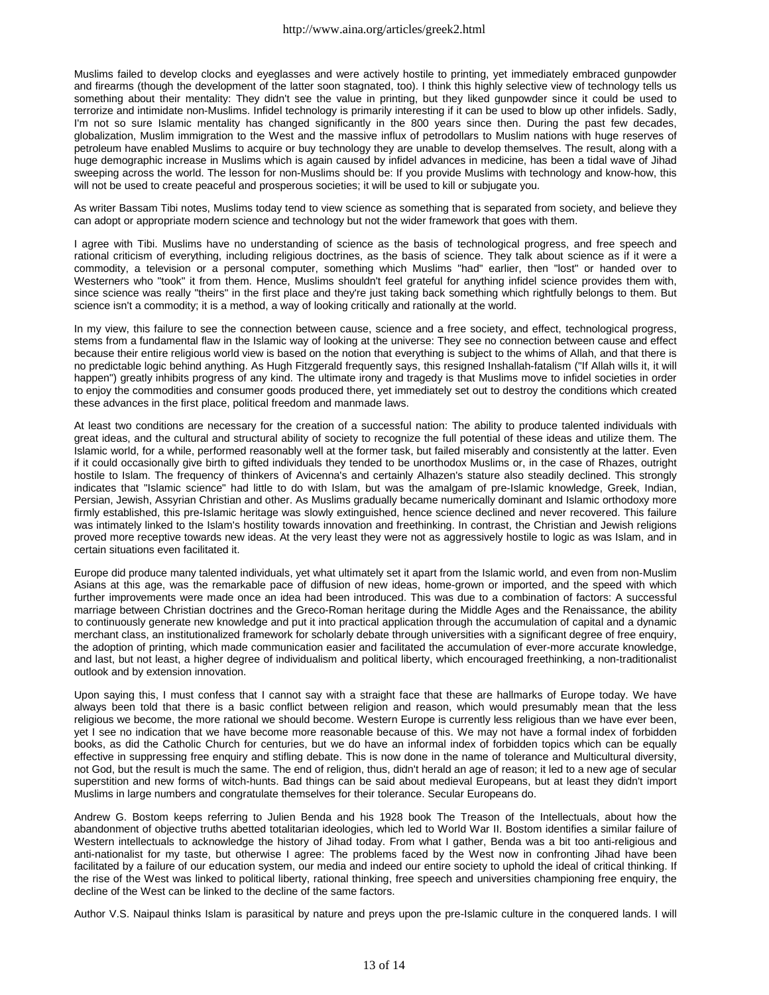Muslims failed to develop clocks and eyeglasses and were actively hostile to printing, yet immediately embraced gunpowder and firearms (though the development of the latter soon stagnated, too). I think this highly selective view of technology tells us something about their mentality: They didn't see the value in printing, but they liked gunpowder since it could be used to terrorize and intimidate non-Muslims. Infidel technology is primarily interesting if it can be used to blow up other infidels. Sadly, I'm not so sure Islamic mentality has changed significantly in the 800 years since then. During the past few decades, globalization, Muslim immigration to the West and the massive influx of petrodollars to Muslim nations with huge reserves of petroleum have enabled Muslims to acquire or buy technology they are unable to develop themselves. The result, along with a huge demographic increase in Muslims which is again caused by infidel advances in medicine, has been a tidal wave of Jihad sweeping across the world. The lesson for non-Muslims should be: If you provide Muslims with technology and know-how, this will not be used to create peaceful and prosperous societies; it will be used to kill or subjugate you.

As writer Bassam Tibi notes, Muslims today tend to view science as something that is separated from society, and believe they can adopt or appropriate modern science and technology but not the wider framework that goes with them.

I agree with Tibi. Muslims have no understanding of science as the basis of technological progress, and free speech and rational criticism of everything, including religious doctrines, as the basis of science. They talk about science as if it were a commodity, a television or a personal computer, something which Muslims "had" earlier, then "lost" or handed over to Westerners who "took" it from them. Hence, Muslims shouldn't feel grateful for anything infidel science provides them with, since science was really "theirs" in the first place and they're just taking back something which rightfully belongs to them. But science isn't a commodity; it is a method, a way of looking critically and rationally at the world.

In my view, this failure to see the connection between cause, science and a free society, and effect, technological progress, stems from a fundamental flaw in the Islamic way of looking at the universe: They see no connection between cause and effect because their entire religious world view is based on the notion that everything is subject to the whims of Allah, and that there is no predictable logic behind anything. As Hugh Fitzgerald frequently says, this resigned Inshallah-fatalism ("If Allah wills it, it will happen") greatly inhibits progress of any kind. The ultimate irony and tragedy is that Muslims move to infidel societies in order to enjoy the commodities and consumer goods produced there, yet immediately set out to destroy the conditions which created these advances in the first place, political freedom and manmade laws.

At least two conditions are necessary for the creation of a successful nation: The ability to produce talented individuals with great ideas, and the cultural and structural ability of society to recognize the full potential of these ideas and utilize them. The Islamic world, for a while, performed reasonably well at the former task, but failed miserably and consistently at the latter. Even if it could occasionally give birth to gifted individuals they tended to be unorthodox Muslims or, in the case of Rhazes, outright hostile to Islam. The frequency of thinkers of Avicenna's and certainly Alhazen's stature also steadily declined. This strongly indicates that "Islamic science" had little to do with Islam, but was the amalgam of pre-Islamic knowledge, Greek, Indian, Persian, Jewish, Assyrian Christian and other. As Muslims gradually became numerically dominant and Islamic orthodoxy more firmly established, this pre-Islamic heritage was slowly extinguished, hence science declined and never recovered. This failure was intimately linked to the Islam's hostility towards innovation and freethinking. In contrast, the Christian and Jewish religions proved more receptive towards new ideas. At the very least they were not as aggressively hostile to logic as was Islam, and in certain situations even facilitated it.

Europe did produce many talented individuals, yet what ultimately set it apart from the Islamic world, and even from non-Muslim Asians at this age, was the remarkable pace of diffusion of new ideas, home-grown or imported, and the speed with which further improvements were made once an idea had been introduced. This was due to a combination of factors: A successful marriage between Christian doctrines and the Greco-Roman heritage during the Middle Ages and the Renaissance, the ability to continuously generate new knowledge and put it into practical application through the accumulation of capital and a dynamic merchant class, an institutionalized framework for scholarly debate through universities with a significant degree of free enquiry, the adoption of printing, which made communication easier and facilitated the accumulation of ever-more accurate knowledge, and last, but not least, a higher degree of individualism and political liberty, which encouraged freethinking, a non-traditionalist outlook and by extension innovation.

Upon saying this, I must confess that I cannot say with a straight face that these are hallmarks of Europe today. We have always been told that there is a basic conflict between religion and reason, which would presumably mean that the less religious we become, the more rational we should become. Western Europe is currently less religious than we have ever been, yet I see no indication that we have become more reasonable because of this. We may not have a formal index of forbidden books, as did the Catholic Church for centuries, but we do have an informal index of forbidden topics which can be equally effective in suppressing free enquiry and stifling debate. This is now done in the name of tolerance and Multicultural diversity, not God, but the result is much the same. The end of religion, thus, didn't herald an age of reason; it led to a new age of secular superstition and new forms of witch-hunts. Bad things can be said about medieval Europeans, but at least they didn't import Muslims in large numbers and congratulate themselves for their tolerance. Secular Europeans do.

Andrew G. Bostom keeps referring to Julien Benda and his 1928 book The Treason of the Intellectuals, about how the abandonment of objective truths abetted totalitarian ideologies, which led to World War II. Bostom identifies a similar failure of Western intellectuals to acknowledge the history of Jihad today. From what I gather, Benda was a bit too anti-religious and anti-nationalist for my taste, but otherwise I agree: The problems faced by the West now in confronting Jihad have been facilitated by a failure of our education system, our media and indeed our entire society to uphold the ideal of critical thinking. If the rise of the West was linked to political liberty, rational thinking, free speech and universities championing free enquiry, the decline of the West can be linked to the decline of the same factors.

Author V.S. Naipaul thinks Islam is parasitical by nature and preys upon the pre-Islamic culture in the conquered lands. I will